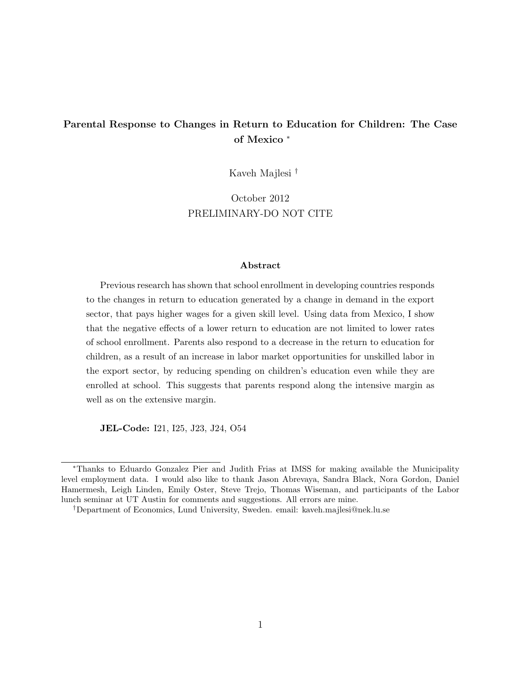### Parental Response to Changes in Return to Education for Children: The Case of Mexico <sup>∗</sup>

Kaveh Majlesi †

October 2012 PRELIMINARY-DO NOT CITE

#### Abstract

Previous research has shown that school enrollment in developing countries responds to the changes in return to education generated by a change in demand in the export sector, that pays higher wages for a given skill level. Using data from Mexico, I show that the negative effects of a lower return to education are not limited to lower rates of school enrollment. Parents also respond to a decrease in the return to education for children, as a result of an increase in labor market opportunities for unskilled labor in the export sector, by reducing spending on children's education even while they are enrolled at school. This suggests that parents respond along the intensive margin as well as on the extensive margin.

JEL-Code: I21, I25, J23, J24, O54

<sup>∗</sup>Thanks to Eduardo Gonzalez Pier and Judith Frias at IMSS for making available the Municipality level employment data. I would also like to thank Jason Abrevaya, Sandra Black, Nora Gordon, Daniel Hamermesh, Leigh Linden, Emily Oster, Steve Trejo, Thomas Wiseman, and participants of the Labor lunch seminar at UT Austin for comments and suggestions. All errors are mine.

<sup>†</sup>Department of Economics, Lund University, Sweden. email: kaveh.majlesi@nek.lu.se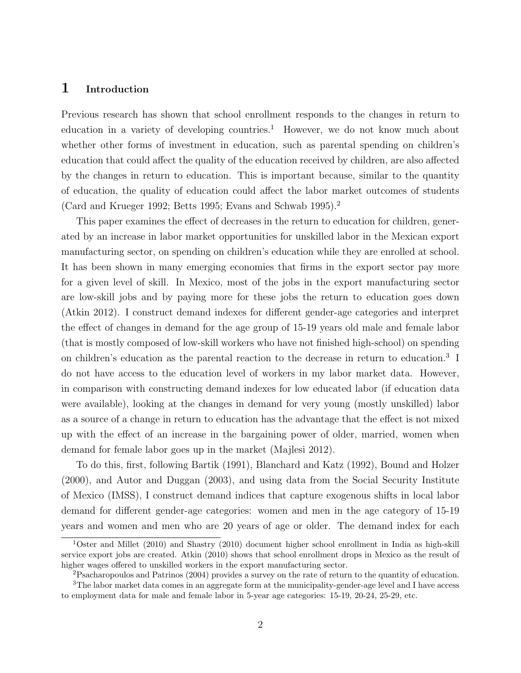#### 1 Introduction

Previous research has shown that school enrollment responds to the changes in return to education in a variety of developing countries.<sup>1</sup> However, we do not know much about whether other forms of investment in education, such as parental spending on children's education that could affect the quality of the education received by children, are also affected by the changes in return to education. This is important because, similar to the quantity of education, the quality of education could affect the labor market outcomes of students (Card and Krueger 1992; Betts 1995; Evans and Schwab 1995).<sup>2</sup>

This paper examines the effect of decreases in the return to education for children, generated by an increase in labor market opportunities for unskilled labor in the Mexican export manufacturing sector, on spending on children's education while they are enrolled at school. It has been shown in many emerging economies that firms in the export sector pay more for a given level of skill. In Mexico, most of the jobs in the export manufacturing sector are low-skill jobs and by paying more for these jobs the return to education goes down (Atkin 2012). I construct demand indexes for different gender-age categories and interpret the effect of changes in demand for the age group of 15-19 years old male and female labor (that is mostly composed of low-skill workers who have not finished high-school) on spending on children's education as the parental reaction to the decrease in return to education.<sup>3</sup> I do not have access to the education level of workers in my labor market data. However, in comparison with constructing demand indexes for low educated labor (if education data were available), looking at the changes in demand for very young (mostly unskilled) labor as a source of a change in return to education has the advantage that the effect is not mixed up with the effect of an increase in the bargaining power of older, married, women when demand for female labor goes up in the market (Majlesi 2012).

To do this, first, following Bartik (1991), Blanchard and Katz (1992), Bound and Holzer (2000), and Autor and Duggan (2003), and using data from the Social Security Institute of Mexico (IMSS), I construct demand indices that capture exogenous shifts in local labor demand for different gender-age categories: women and men in the age category of 15-19 years and women and men who are 20 years of age or older. The demand index for each

<sup>1</sup>Oster and Millet (2010) and Shastry (2010) document higher school enrollment in India as high-skill service export jobs are created. Atkin (2010) shows that school enrollment drops in Mexico as the result of higher wages offered to unskilled workers in the export manufacturing sector.

<sup>2</sup>Psacharopoulos and Patrinos (2004) provides a survey on the rate of return to the quantity of education.

<sup>3</sup>The labor market data comes in an aggregate form at the municipality-gender-age level and I have access to employment data for male and female labor in 5-year age categories: 15-19, 20-24, 25-29, etc.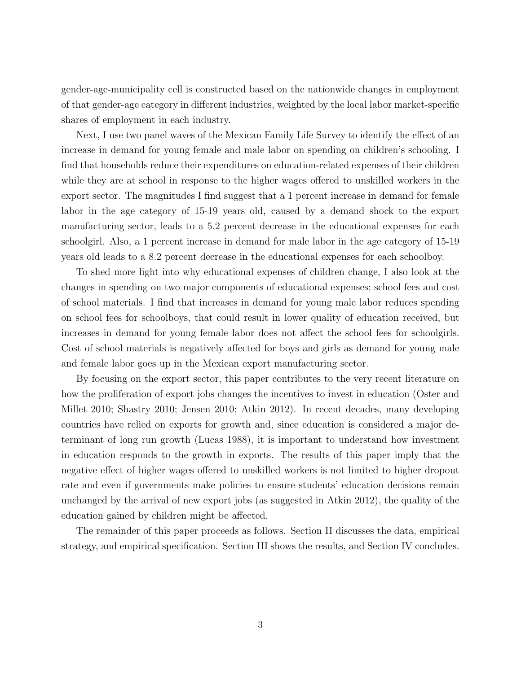gender-age-municipality cell is constructed based on the nationwide changes in employment of that gender-age category in different industries, weighted by the local labor market-specific shares of employment in each industry.

Next, I use two panel waves of the Mexican Family Life Survey to identify the effect of an increase in demand for young female and male labor on spending on children's schooling. I find that households reduce their expenditures on education-related expenses of their children while they are at school in response to the higher wages offered to unskilled workers in the export sector. The magnitudes I find suggest that a 1 percent increase in demand for female labor in the age category of 15-19 years old, caused by a demand shock to the export manufacturing sector, leads to a 5.2 percent decrease in the educational expenses for each schoolgirl. Also, a 1 percent increase in demand for male labor in the age category of 15-19 years old leads to a 8.2 percent decrease in the educational expenses for each schoolboy.

To shed more light into why educational expenses of children change, I also look at the changes in spending on two major components of educational expenses; school fees and cost of school materials. I find that increases in demand for young male labor reduces spending on school fees for schoolboys, that could result in lower quality of education received, but increases in demand for young female labor does not affect the school fees for schoolgirls. Cost of school materials is negatively affected for boys and girls as demand for young male and female labor goes up in the Mexican export manufacturing sector.

By focusing on the export sector, this paper contributes to the very recent literature on how the proliferation of export jobs changes the incentives to invest in education (Oster and Millet 2010; Shastry 2010; Jensen 2010; Atkin 2012). In recent decades, many developing countries have relied on exports for growth and, since education is considered a major determinant of long run growth (Lucas 1988), it is important to understand how investment in education responds to the growth in exports. The results of this paper imply that the negative effect of higher wages offered to unskilled workers is not limited to higher dropout rate and even if governments make policies to ensure students' education decisions remain unchanged by the arrival of new export jobs (as suggested in Atkin 2012), the quality of the education gained by children might be affected.

The remainder of this paper proceeds as follows. Section II discusses the data, empirical strategy, and empirical specification. Section III shows the results, and Section IV concludes.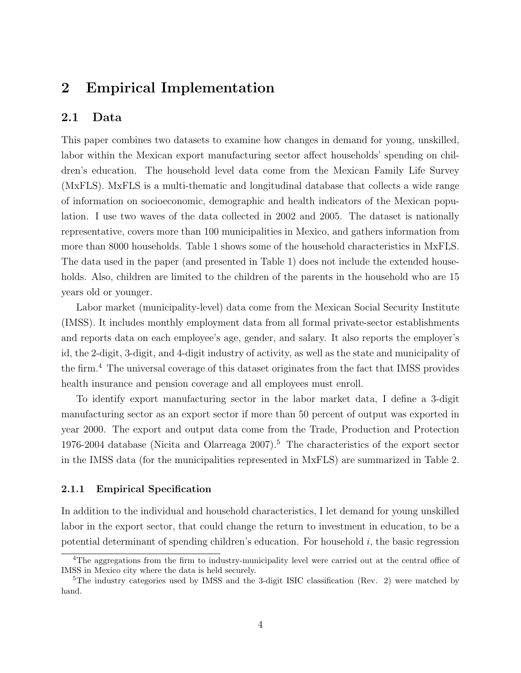## 2 Empirical Implementation

### 2.1 Data

This paper combines two datasets to examine how changes in demand for young, unskilled, labor within the Mexican export manufacturing sector affect households' spending on children's education. The household level data come from the Mexican Family Life Survey (MxFLS). MxFLS is a multi-thematic and longitudinal database that collects a wide range of information on socioeconomic, demographic and health indicators of the Mexican population. I use two waves of the data collected in 2002 and 2005. The dataset is nationally representative, covers more than 100 municipalities in Mexico, and gathers information from more than 8000 households. Table 1 shows some of the household characteristics in MxFLS. The data used in the paper (and presented in Table 1) does not include the extended households. Also, children are limited to the children of the parents in the household who are 15 years old or younger.

Labor market (municipality-level) data come from the Mexican Social Security Institute (IMSS). It includes monthly employment data from all formal private-sector establishments and reports data on each employee's age, gender, and salary. It also reports the employer's id, the 2-digit, 3-digit, and 4-digit industry of activity, as well as the state and municipality of the firm.<sup>4</sup> The universal coverage of this dataset originates from the fact that IMSS provides health insurance and pension coverage and all employees must enroll.

To identify export manufacturing sector in the labor market data, I define a 3-digit manufacturing sector as an export sector if more than 50 percent of output was exported in year 2000. The export and output data come from the Trade, Production and Protection 1976-2004 database (Nicita and Olarreaga  $2007$ ).<sup>5</sup> The characteristics of the export sector in the IMSS data (for the municipalities represented in MxFLS) are summarized in Table 2.

#### 2.1.1 Empirical Specification

In addition to the individual and household characteristics, I let demand for young unskilled labor in the export sector, that could change the return to investment in education, to be a potential determinant of spending children's education. For household  $i$ , the basic regression

<sup>&</sup>lt;sup>4</sup>The aggregations from the firm to industry-municipality level were carried out at the central office of IMSS in Mexico city where the data is held securely.

<sup>&</sup>lt;sup>5</sup>The industry categories used by IMSS and the 3-digit ISIC classification (Rev. 2) were matched by hand.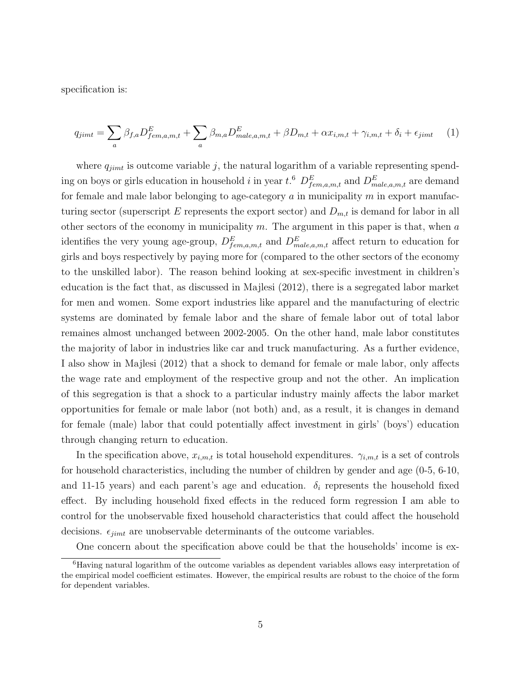specification is:

$$
q_{jimt} = \sum_{a} \beta_{f,a} D_{fem,a,m,t}^{E} + \sum_{a} \beta_{m,a} D_{male,a,m,t}^{E} + \beta D_{m,t} + \alpha x_{i,m,t} + \gamma_{i,m,t} + \delta_i + \epsilon_{jimt} \tag{1}
$$

where  $q_{jimt}$  is outcome variable j, the natural logarithm of a variable representing spending on boys or girls education in household *i* in year  $t$ .<sup>6</sup>  $D_{fem,a,m,t}^E$  and  $D_{male,a,m,t}^E$  are demand for female and male labor belonging to age-category  $a$  in municipality  $m$  in export manufacturing sector (superscript E represents the export sector) and  $D_{m,t}$  is demand for labor in all other sectors of the economy in municipality  $m$ . The argument in this paper is that, when  $a$ identifies the very young age-group,  $D_{fem,a,m,t}^E$  and  $D_{male,a,m,t}^E$  affect return to education for girls and boys respectively by paying more for (compared to the other sectors of the economy to the unskilled labor). The reason behind looking at sex-specific investment in children's education is the fact that, as discussed in Majlesi (2012), there is a segregated labor market for men and women. Some export industries like apparel and the manufacturing of electric systems are dominated by female labor and the share of female labor out of total labor remaines almost unchanged between 2002-2005. On the other hand, male labor constitutes the majority of labor in industries like car and truck manufacturing. As a further evidence, I also show in Majlesi (2012) that a shock to demand for female or male labor, only affects the wage rate and employment of the respective group and not the other. An implication of this segregation is that a shock to a particular industry mainly affects the labor market opportunities for female or male labor (not both) and, as a result, it is changes in demand for female (male) labor that could potentially affect investment in girls' (boys') education through changing return to education.

In the specification above,  $x_{i,m,t}$  is total household expenditures.  $\gamma_{i,m,t}$  is a set of controls for household characteristics, including the number of children by gender and age (0-5, 6-10, and 11-15 years) and each parent's age and education.  $\delta_i$  represents the household fixed effect. By including household fixed effects in the reduced form regression I am able to control for the unobservable fixed household characteristics that could affect the household decisions.  $\epsilon_{jimt}$  are unobservable determinants of the outcome variables.

One concern about the specification above could be that the households' income is ex-

<sup>6</sup>Having natural logarithm of the outcome variables as dependent variables allows easy interpretation of the empirical model coefficient estimates. However, the empirical results are robust to the choice of the form for dependent variables.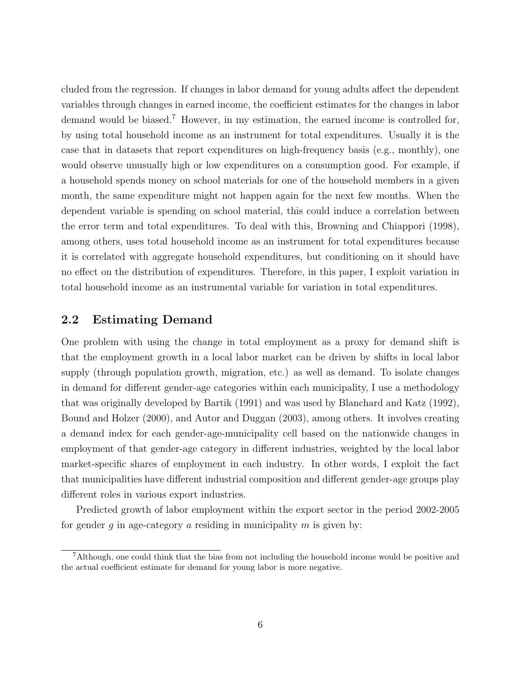cluded from the regression. If changes in labor demand for young adults affect the dependent variables through changes in earned income, the coefficient estimates for the changes in labor demand would be biased.<sup>7</sup> However, in my estimation, the earned income is controlled for, by using total household income as an instrument for total expenditures. Usually it is the case that in datasets that report expenditures on high-frequency basis (e.g., monthly), one would observe unusually high or low expenditures on a consumption good. For example, if a household spends money on school materials for one of the household members in a given month, the same expenditure might not happen again for the next few months. When the dependent variable is spending on school material, this could induce a correlation between the error term and total expenditures. To deal with this, Browning and Chiappori (1998), among others, uses total household income as an instrument for total expenditures because it is correlated with aggregate household expenditures, but conditioning on it should have no effect on the distribution of expenditures. Therefore, in this paper, I exploit variation in total household income as an instrumental variable for variation in total expenditures.

#### 2.2 Estimating Demand

One problem with using the change in total employment as a proxy for demand shift is that the employment growth in a local labor market can be driven by shifts in local labor supply (through population growth, migration, etc.) as well as demand. To isolate changes in demand for different gender-age categories within each municipality, I use a methodology that was originally developed by Bartik (1991) and was used by Blanchard and Katz (1992), Bound and Holzer (2000), and Autor and Duggan (2003), among others. It involves creating a demand index for each gender-age-municipality cell based on the nationwide changes in employment of that gender-age category in different industries, weighted by the local labor market-specific shares of employment in each industry. In other words, I exploit the fact that municipalities have different industrial composition and different gender-age groups play different roles in various export industries.

Predicted growth of labor employment within the export sector in the period 2002-2005 for gender q in age-category a residing in municipality  $m$  is given by:

<sup>7</sup>Although, one could think that the bias from not including the household income would be positive and the actual coefficient estimate for demand for young labor is more negative.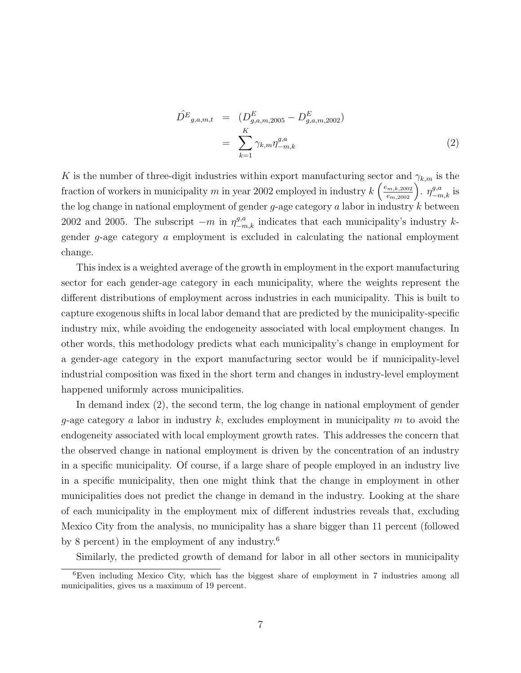$$
\hat{D}^{E}_{g,a,m,t} = (D^{E}_{g,a,m,2005} - D^{E}_{g,a,m,2002})
$$
\n
$$
= \sum_{k=1}^{K} \gamma_{k,m} \eta_{-m,k}^{g,a}
$$
\n(2)

K is the number of three-digit industries within export manufacturing sector and  $\gamma_{k,m}$  is the fraction of workers in municipality m in year 2002 employed in industry  $k\left(\frac{e_{m,k,2002}}{e_{m,2002}}\right)$ .  $\eta_{-m,k}^{g,a}$  is the log change in national employment of gender  $g$ -age category  $a$  labor in industry  $k$  between 2002 and 2005. The subscript  $-m$  in  $\eta_{-m,k}^{g,a}$  indicates that each municipality's industry kgender g-age category a employment is excluded in calculating the national employment change.

This index is a weighted average of the growth in employment in the export manufacturing sector for each gender-age category in each municipality, where the weights represent the different distributions of employment across industries in each municipality. This is built to capture exogenous shifts in local labor demand that are predicted by the municipality-specific industry mix, while avoiding the endogeneity associated with local employment changes. In other words, this methodology predicts what each municipality's change in employment for a gender-age category in the export manufacturing sector would be if municipality-level industrial composition was fixed in the short term and changes in industry-level employment happened uniformly across municipalities.

In demand index (2), the second term, the log change in national employment of gender g-age category a labor in industry  $k$ , excludes employment in municipality  $m$  to avoid the endogeneity associated with local employment growth rates. This addresses the concern that the observed change in national employment is driven by the concentration of an industry in a specific municipality. Of course, if a large share of people employed in an industry live in a specific municipality, then one might think that the change in employment in other municipalities does not predict the change in demand in the industry. Looking at the share of each municipality in the employment mix of different industries reveals that, excluding Mexico City from the analysis, no municipality has a share bigger than 11 percent (followed by 8 percent) in the employment of any industry.<sup>6</sup>

Similarly, the predicted growth of demand for labor in all other sectors in municipality

<sup>6</sup>Even including Mexico City, which has the biggest share of employment in 7 industries among all municipalities, gives us a maximum of 19 percent.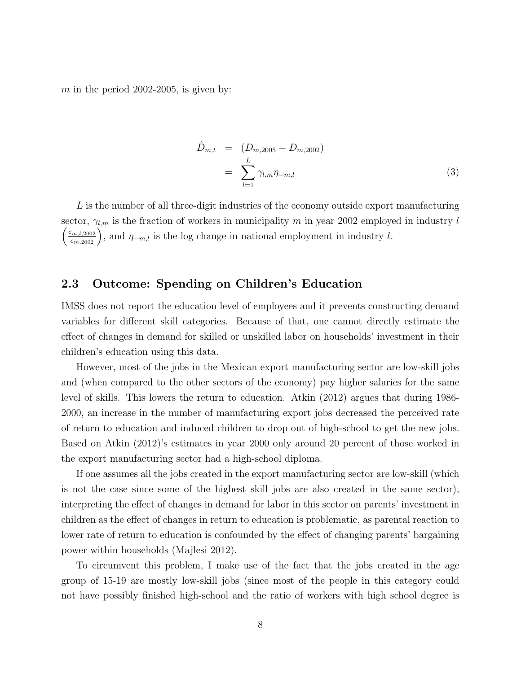m in the period 2002-2005, is given by:

$$
\hat{D}_{m,t} = (D_{m,2005} - D_{m,2002})
$$
\n
$$
= \sum_{l=1}^{L} \gamma_{l,m} \eta_{-m,l} \tag{3}
$$

 $L$  is the number of all three-digit industries of the economy outside export manufacturing sector,  $\gamma_{l,m}$  is the fraction of workers in municipality m in year 2002 employed in industry l  $\left(\frac{e_{m,l,2002}}{e_{m,2002}}\right)$ , and  $\eta_{-m,l}$  is the log change in national employment in industry l.

### 2.3 Outcome: Spending on Children's Education

IMSS does not report the education level of employees and it prevents constructing demand variables for different skill categories. Because of that, one cannot directly estimate the effect of changes in demand for skilled or unskilled labor on households' investment in their children's education using this data.

However, most of the jobs in the Mexican export manufacturing sector are low-skill jobs and (when compared to the other sectors of the economy) pay higher salaries for the same level of skills. This lowers the return to education. Atkin (2012) argues that during 1986- 2000, an increase in the number of manufacturing export jobs decreased the perceived rate of return to education and induced children to drop out of high-school to get the new jobs. Based on Atkin (2012)'s estimates in year 2000 only around 20 percent of those worked in the export manufacturing sector had a high-school diploma.

If one assumes all the jobs created in the export manufacturing sector are low-skill (which is not the case since some of the highest skill jobs are also created in the same sector), interpreting the effect of changes in demand for labor in this sector on parents' investment in children as the effect of changes in return to education is problematic, as parental reaction to lower rate of return to education is confounded by the effect of changing parents' bargaining power within households (Majlesi 2012).

To circumvent this problem, I make use of the fact that the jobs created in the age group of 15-19 are mostly low-skill jobs (since most of the people in this category could not have possibly finished high-school and the ratio of workers with high school degree is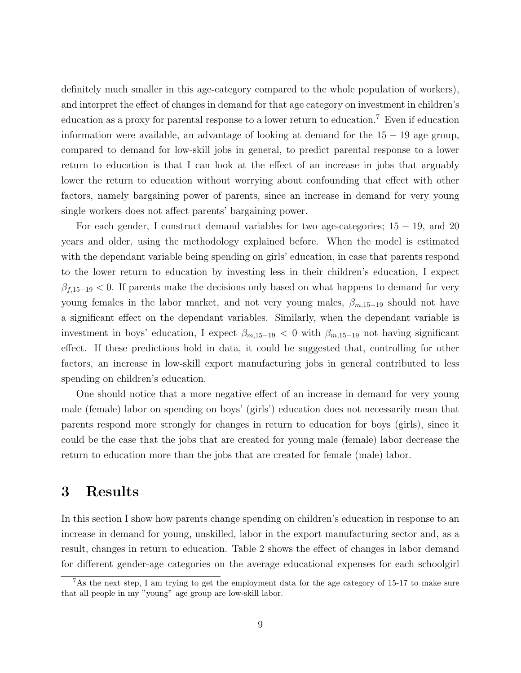definitely much smaller in this age-category compared to the whole population of workers), and interpret the effect of changes in demand for that age category on investment in children's education as a proxy for parental response to a lower return to education.<sup>7</sup> Even if education information were available, an advantage of looking at demand for the  $15 - 19$  age group, compared to demand for low-skill jobs in general, to predict parental response to a lower return to education is that I can look at the effect of an increase in jobs that arguably lower the return to education without worrying about confounding that effect with other factors, namely bargaining power of parents, since an increase in demand for very young single workers does not affect parents' bargaining power.

For each gender, I construct demand variables for two age-categories; 15 − 19, and 20 years and older, using the methodology explained before. When the model is estimated with the dependant variable being spending on girls' education, in case that parents respond to the lower return to education by investing less in their children's education, I expect  $\beta_{f,15-19}$  < 0. If parents make the decisions only based on what happens to demand for very young females in the labor market, and not very young males,  $\beta_{m,15-19}$  should not have a significant effect on the dependant variables. Similarly, when the dependant variable is investment in boys' education, I expect  $\beta_{m,15-19} < 0$  with  $\beta_{m,15-19}$  not having significant effect. If these predictions hold in data, it could be suggested that, controlling for other factors, an increase in low-skill export manufacturing jobs in general contributed to less spending on children's education.

One should notice that a more negative effect of an increase in demand for very young male (female) labor on spending on boys' (girls') education does not necessarily mean that parents respond more strongly for changes in return to education for boys (girls), since it could be the case that the jobs that are created for young male (female) labor decrease the return to education more than the jobs that are created for female (male) labor.

# 3 Results

In this section I show how parents change spending on children's education in response to an increase in demand for young, unskilled, labor in the export manufacturing sector and, as a result, changes in return to education. Table 2 shows the effect of changes in labor demand for different gender-age categories on the average educational expenses for each schoolgirl

<sup>7</sup>As the next step, I am trying to get the employment data for the age category of 15-17 to make sure that all people in my "young" age group are low-skill labor.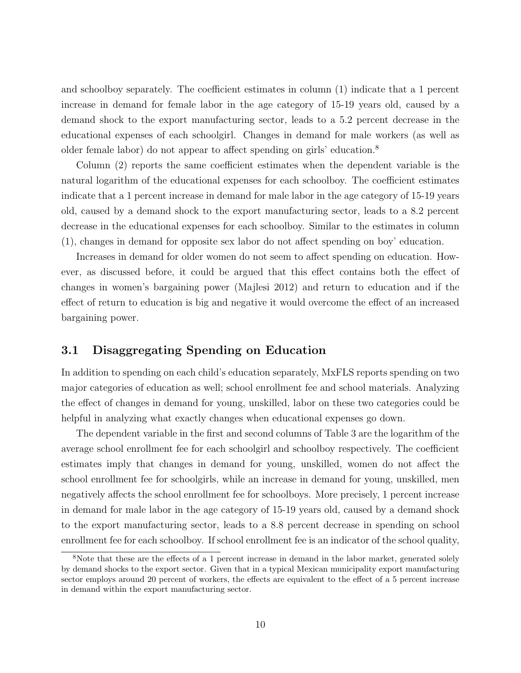and schoolboy separately. The coefficient estimates in column (1) indicate that a 1 percent increase in demand for female labor in the age category of 15-19 years old, caused by a demand shock to the export manufacturing sector, leads to a 5.2 percent decrease in the educational expenses of each schoolgirl. Changes in demand for male workers (as well as older female labor) do not appear to affect spending on girls' education.<sup>8</sup>

Column (2) reports the same coefficient estimates when the dependent variable is the natural logarithm of the educational expenses for each schoolboy. The coefficient estimates indicate that a 1 percent increase in demand for male labor in the age category of 15-19 years old, caused by a demand shock to the export manufacturing sector, leads to a 8.2 percent decrease in the educational expenses for each schoolboy. Similar to the estimates in column (1), changes in demand for opposite sex labor do not affect spending on boy' education.

Increases in demand for older women do not seem to affect spending on education. However, as discussed before, it could be argued that this effect contains both the effect of changes in women's bargaining power (Majlesi 2012) and return to education and if the effect of return to education is big and negative it would overcome the effect of an increased bargaining power.

#### 3.1 Disaggregating Spending on Education

In addition to spending on each child's education separately, MxFLS reports spending on two major categories of education as well; school enrollment fee and school materials. Analyzing the effect of changes in demand for young, unskilled, labor on these two categories could be helpful in analyzing what exactly changes when educational expenses go down.

The dependent variable in the first and second columns of Table 3 are the logarithm of the average school enrollment fee for each schoolgirl and schoolboy respectively. The coefficient estimates imply that changes in demand for young, unskilled, women do not affect the school enrollment fee for schoolgirls, while an increase in demand for young, unskilled, men negatively affects the school enrollment fee for schoolboys. More precisely, 1 percent increase in demand for male labor in the age category of 15-19 years old, caused by a demand shock to the export manufacturing sector, leads to a 8.8 percent decrease in spending on school enrollment fee for each schoolboy. If school enrollment fee is an indicator of the school quality,

<sup>&</sup>lt;sup>8</sup>Note that these are the effects of a 1 percent increase in demand in the labor market, generated solely by demand shocks to the export sector. Given that in a typical Mexican municipality export manufacturing sector employs around 20 percent of workers, the effects are equivalent to the effect of a 5 percent increase in demand within the export manufacturing sector.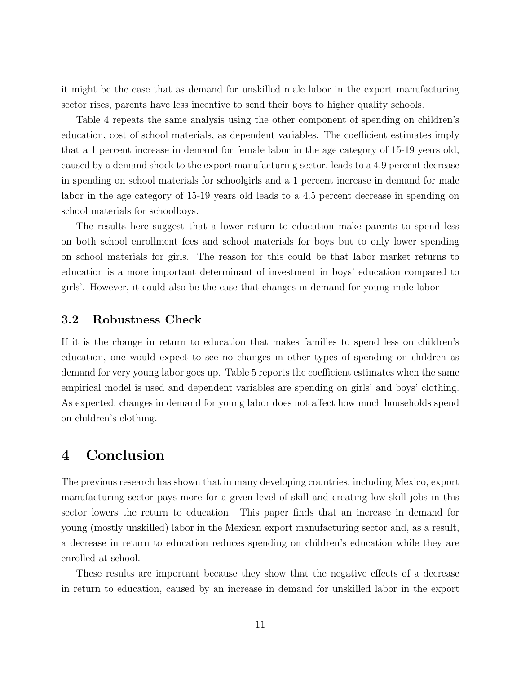it might be the case that as demand for unskilled male labor in the export manufacturing sector rises, parents have less incentive to send their boys to higher quality schools.

Table 4 repeats the same analysis using the other component of spending on children's education, cost of school materials, as dependent variables. The coefficient estimates imply that a 1 percent increase in demand for female labor in the age category of 15-19 years old, caused by a demand shock to the export manufacturing sector, leads to a 4.9 percent decrease in spending on school materials for schoolgirls and a 1 percent increase in demand for male labor in the age category of 15-19 years old leads to a 4.5 percent decrease in spending on school materials for schoolboys.

The results here suggest that a lower return to education make parents to spend less on both school enrollment fees and school materials for boys but to only lower spending on school materials for girls. The reason for this could be that labor market returns to education is a more important determinant of investment in boys' education compared to girls'. However, it could also be the case that changes in demand for young male labor

#### 3.2 Robustness Check

If it is the change in return to education that makes families to spend less on children's education, one would expect to see no changes in other types of spending on children as demand for very young labor goes up. Table 5 reports the coefficient estimates when the same empirical model is used and dependent variables are spending on girls' and boys' clothing. As expected, changes in demand for young labor does not affect how much households spend on children's clothing.

## 4 Conclusion

The previous research has shown that in many developing countries, including Mexico, export manufacturing sector pays more for a given level of skill and creating low-skill jobs in this sector lowers the return to education. This paper finds that an increase in demand for young (mostly unskilled) labor in the Mexican export manufacturing sector and, as a result, a decrease in return to education reduces spending on children's education while they are enrolled at school.

These results are important because they show that the negative effects of a decrease in return to education, caused by an increase in demand for unskilled labor in the export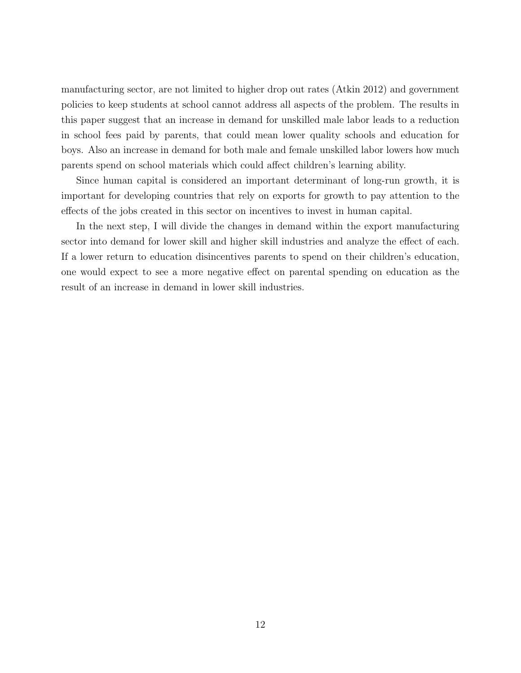manufacturing sector, are not limited to higher drop out rates (Atkin 2012) and government policies to keep students at school cannot address all aspects of the problem. The results in this paper suggest that an increase in demand for unskilled male labor leads to a reduction in school fees paid by parents, that could mean lower quality schools and education for boys. Also an increase in demand for both male and female unskilled labor lowers how much parents spend on school materials which could affect children's learning ability.

Since human capital is considered an important determinant of long-run growth, it is important for developing countries that rely on exports for growth to pay attention to the effects of the jobs created in this sector on incentives to invest in human capital.

In the next step, I will divide the changes in demand within the export manufacturing sector into demand for lower skill and higher skill industries and analyze the effect of each. If a lower return to education disincentives parents to spend on their children's education, one would expect to see a more negative effect on parental spending on education as the result of an increase in demand in lower skill industries.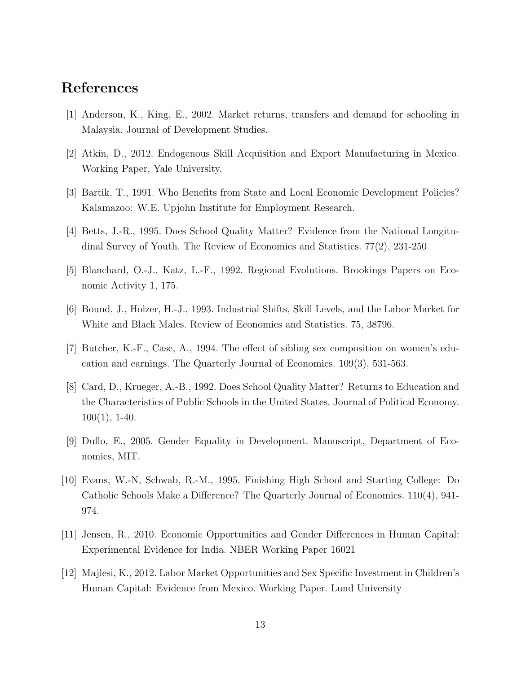## References

- [1] Anderson, K., King, E., 2002. Market returns, transfers and demand for schooling in Malaysia. Journal of Development Studies.
- [2] Atkin, D., 2012. Endogenous Skill Acquisition and Export Manufacturing in Mexico. Working Paper, Yale University.
- [3] Bartik, T., 1991. Who Benefits from State and Local Economic Development Policies? Kalamazoo: W.E. Upjohn Institute for Employment Research.
- [4] Betts, J.-R., 1995. Does School Quality Matter? Evidence from the National Longitudinal Survey of Youth. The Review of Economics and Statistics. 77(2), 231-250
- [5] Blanchard, O.-J., Katz, L.-F., 1992. Regional Evolutions. Brookings Papers on Economic Activity 1, 175.
- [6] Bound, J., Holzer, H.-J., 1993. Industrial Shifts, Skill Levels, and the Labor Market for White and Black Males. Review of Economics and Statistics. 75, 38796.
- [7] Butcher, K.-F., Case, A., 1994. The effect of sibling sex composition on women's education and earnings. The Quarterly Journal of Economics. 109(3), 531-563.
- [8] Card, D., Krueger, A.-B., 1992. Does School Quality Matter? Returns to Education and the Characteristics of Public Schools in the United States. Journal of Political Economy. 100(1), 1-40.
- [9] Duflo, E., 2005. Gender Equality in Development. Manuscript, Department of Economics, MIT.
- [10] Evans, W.-N, Schwab, R.-M., 1995. Finishing High School and Starting College: Do Catholic Schools Make a Difference? The Quarterly Journal of Economics. 110(4), 941- 974.
- [11] Jensen, R., 2010. Economic Opportunities and Gender Differences in Human Capital: Experimental Evidence for India. NBER Working Paper 16021
- [12] Majlesi, K., 2012. Labor Market Opportunities and Sex Specific Investment in Children's Human Capital: Evidence from Mexico. Working Paper. Lund University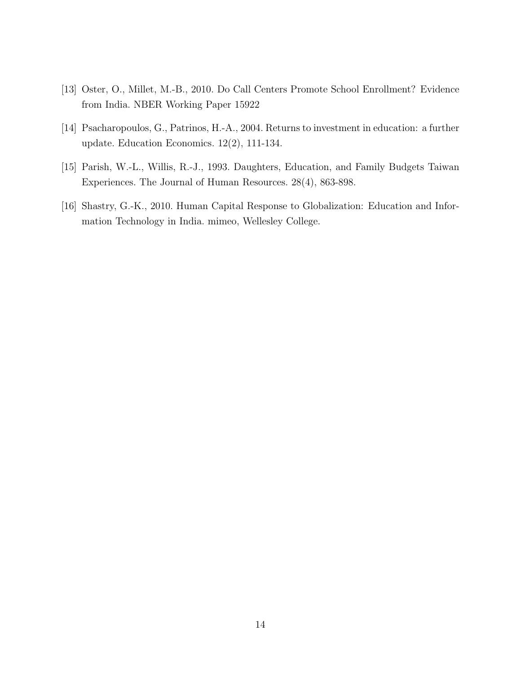- [13] Oster, O., Millet, M.-B., 2010. Do Call Centers Promote School Enrollment? Evidence from India. NBER Working Paper 15922
- [14] Psacharopoulos, G., Patrinos, H.-A., 2004. Returns to investment in education: a further update. Education Economics. 12(2), 111-134.
- [15] Parish, W.-L., Willis, R.-J., 1993. Daughters, Education, and Family Budgets Taiwan Experiences. The Journal of Human Resources. 28(4), 863-898.
- [16] Shastry, G.-K., 2010. Human Capital Response to Globalization: Education and Information Technology in India. mimeo, Wellesley College.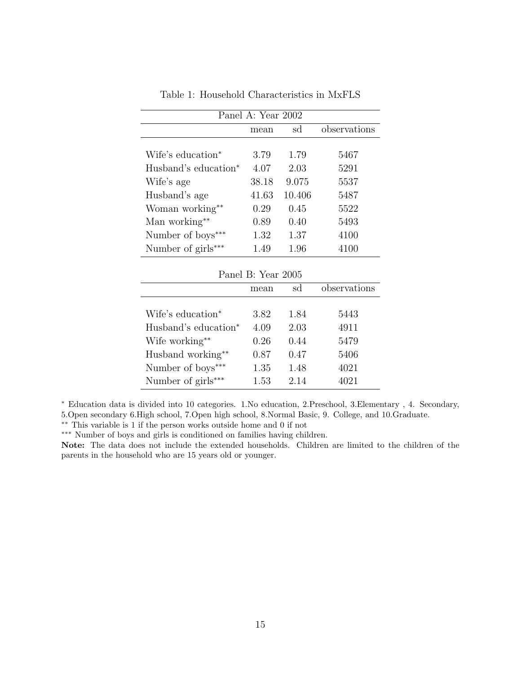| Panel A: Year 2002               |       |        |              |
|----------------------------------|-------|--------|--------------|
|                                  | mean  | sd     | observations |
|                                  |       |        |              |
| Wife's education <sup>*</sup>    | 3.79  | 1.79   | 5467         |
| Husband's education <sup>*</sup> | 4.07  | 2.03   | 5291         |
| Wife's age                       | 38.18 | 9.075  | 5537         |
| Husband's age                    | 41.63 | 10.406 | 5487         |
| Woman working**                  | 0.29  | 0.45   | 5522         |
| Man working**                    | 0.89  | 0.40   | 5493         |
| Number of boys***                | 1.32  | 1.37   | 4100         |
| Number of girls***               | 1.49  | 1.96   | 4100         |

Table 1: Household Characteristics in MxFLS

| Panel B: Year 2005               |      |      |              |
|----------------------------------|------|------|--------------|
|                                  | mean | sd   | observations |
|                                  |      |      |              |
| Wife's education <sup>*</sup>    | 3.82 | 1.84 | 5443         |
| Husband's education <sup>*</sup> | 4.09 | 2.03 | 4911         |
| Wife working**                   | 0.26 | 0.44 | 5479         |
| Husband working**                | 0.87 | 0.47 | 5406         |
| Number of boys***                | 1.35 | 1.48 | 4021         |
| Number of girls***               | 1.53 | 2.14 | 4021         |

<sup>∗</sup> Education data is divided into 10 categories. 1.No education, 2.Preschool, 3.Elementary , 4. Secondary, 5.Open secondary 6.High school, 7.Open high school, 8.Normal Basic, 9. College, and 10.Graduate.

∗∗ This variable is 1 if the person works outside home and 0 if not

∗∗∗ Number of boys and girls is conditioned on families having children.

Note: The data does not include the extended households. Children are limited to the children of the parents in the household who are 15 years old or younger.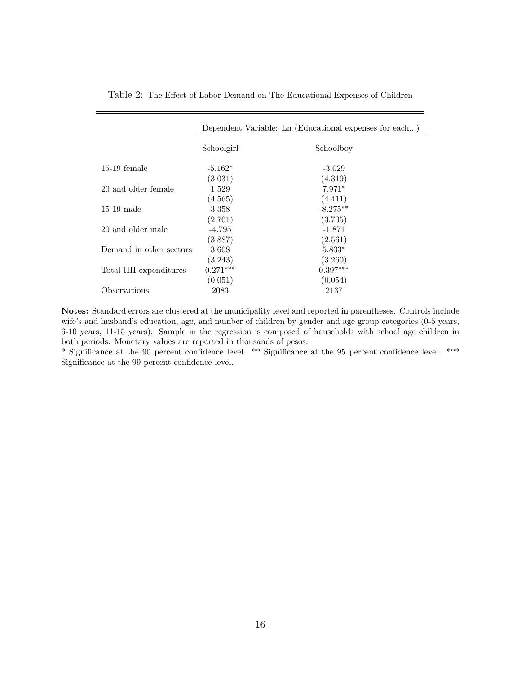|                         | Dependent Variable: Ln (Educational expenses for each) |            |  |
|-------------------------|--------------------------------------------------------|------------|--|
|                         | Schoolgirl                                             | Schoolboy  |  |
| $15-19$ female          | $-5.162*$                                              | $-3.029$   |  |
|                         | (3.031)                                                | (4.319)    |  |
| 20 and older female     | 1.529                                                  | $7.971*$   |  |
|                         | (4.565)                                                | (4.411)    |  |
| $15-19$ male            | 3.358                                                  | $-8.275**$ |  |
|                         | (2.701)                                                | (3.705)    |  |
| 20 and older male       | $-4.795$                                               | $-1.871$   |  |
|                         | (3.887)                                                | (2.561)    |  |
| Demand in other sectors | 3.608                                                  | $5.833*$   |  |
|                         | (3.243)                                                | (3.260)    |  |
| Total HH expenditures   | $0.271***$                                             | $0.397***$ |  |
|                         | (0.051)                                                | (0.054)    |  |
| Observations            | 2083                                                   | 2137       |  |

Table 2: The Effect of Labor Demand on The Educational Expenses of Children

Notes: Standard errors are clustered at the municipality level and reported in parentheses. Controls include wife's and husband's education, age, and number of children by gender and age group categories (0-5 years, 6-10 years, 11-15 years). Sample in the regression is composed of households with school age children in both periods. Monetary values are reported in thousands of pesos.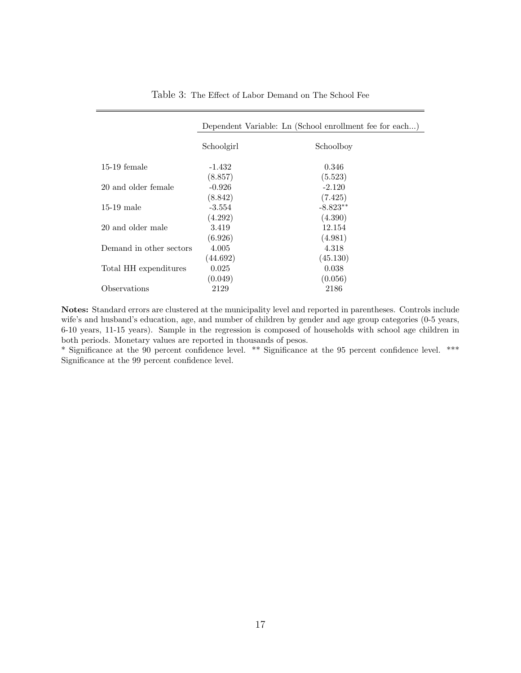|                         | Dependent Variable: Ln (School enrollment fee for each) |            |
|-------------------------|---------------------------------------------------------|------------|
|                         | Schoolgirl                                              | Schoolboy  |
| $15-19$ female          | -1.432                                                  | 0.346      |
|                         | (8.857)                                                 | (5.523)    |
| 20 and older female     | $-0.926$                                                | $-2.120$   |
|                         | (8.842)                                                 | (7.425)    |
| $15-19$ male            | $-3.554$                                                | $-8.823**$ |
|                         | (4.292)                                                 | (4.390)    |
| 20 and older male       | 3.419                                                   | 12.154     |
|                         | (6.926)                                                 | (4.981)    |
| Demand in other sectors | 4.005                                                   | 4.318      |
|                         | (44.692)                                                | (45.130)   |
| Total HH expenditures   | 0.025                                                   | 0.038      |
|                         | (0.049)                                                 | (0.056)    |
| Observations            | 2129                                                    | 2186       |

Table 3: The Effect of Labor Demand on The School Fee

Notes: Standard errors are clustered at the municipality level and reported in parentheses. Controls include wife's and husband's education, age, and number of children by gender and age group categories (0-5 years, 6-10 years, 11-15 years). Sample in the regression is composed of households with school age children in both periods. Monetary values are reported in thousands of pesos.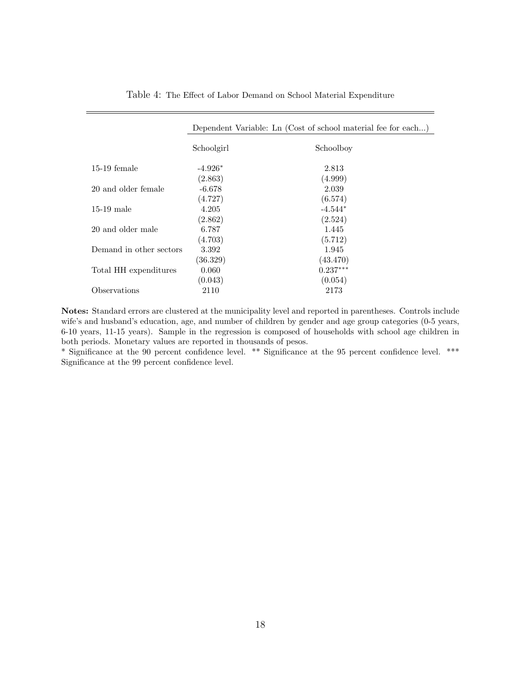|                         | Dependent Variable: Ln (Cost of school material fee for each) |            |  |
|-------------------------|---------------------------------------------------------------|------------|--|
|                         | Schoolgirl                                                    | Schoolboy  |  |
| $15-19$ female          | $-4.926*$                                                     | 2.813      |  |
|                         | (2.863)                                                       | (4.999)    |  |
| 20 and older female     | $-6.678$                                                      | 2.039      |  |
|                         | (4.727)                                                       | (6.574)    |  |
| $15-19$ male            | 4.205                                                         | $-4.544*$  |  |
|                         | (2.862)                                                       | (2.524)    |  |
| 20 and older male       | 6.787                                                         | 1.445      |  |
|                         | (4.703)                                                       | (5.712)    |  |
| Demand in other sectors | 3.392                                                         | 1.945      |  |
|                         | (36.329)                                                      | (43.470)   |  |
| Total HH expenditures   | 0.060                                                         | $0.237***$ |  |
|                         | (0.043)                                                       | (0.054)    |  |
| Observations            | 2110                                                          | 2173       |  |

Table 4: The Effect of Labor Demand on School Material Expenditure

Notes: Standard errors are clustered at the municipality level and reported in parentheses. Controls include wife's and husband's education, age, and number of children by gender and age group categories (0-5 years, 6-10 years, 11-15 years). Sample in the regression is composed of households with school age children in both periods. Monetary values are reported in thousands of pesos.